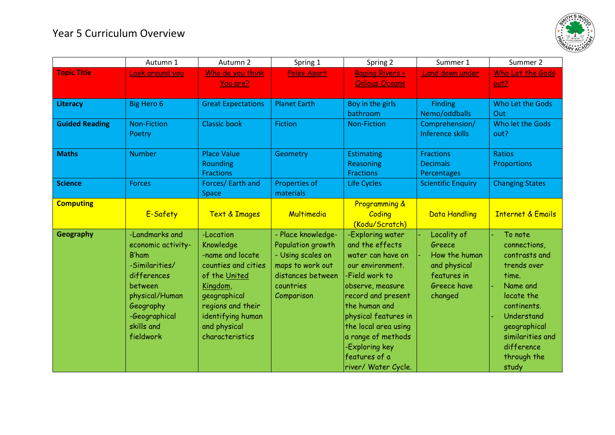## Year 5 Curriculum Overview



|                       | Autumn 1                                                                                                                                                                    | Autumn 2                                                                                                                                                                                    | Spring 1                                                                                                                         | Spring 2                                                                                                                                                                                                                                                                                  | Summer 1                                                                                        | Summer 2                                                                                                                                                                                          |
|-----------------------|-----------------------------------------------------------------------------------------------------------------------------------------------------------------------------|---------------------------------------------------------------------------------------------------------------------------------------------------------------------------------------------|----------------------------------------------------------------------------------------------------------------------------------|-------------------------------------------------------------------------------------------------------------------------------------------------------------------------------------------------------------------------------------------------------------------------------------------|-------------------------------------------------------------------------------------------------|---------------------------------------------------------------------------------------------------------------------------------------------------------------------------------------------------|
| <b>Topic Title</b>    | Look around you                                                                                                                                                             | Who do you think<br>You are?                                                                                                                                                                | Poles Apart                                                                                                                      | Raging Rivers +<br><b>Odious Oceans</b>                                                                                                                                                                                                                                                   | Land down under                                                                                 | Who Let the Gods<br>out2                                                                                                                                                                          |
| Literacy              | <b>Big Hero 6</b>                                                                                                                                                           | <b>Great Expectations</b>                                                                                                                                                                   | <b>Planet Earth</b>                                                                                                              | Boy in the girls<br>bathroom                                                                                                                                                                                                                                                              | <b>Finding</b><br>Nemo/oddballs                                                                 | Who Let the Gods<br>Out                                                                                                                                                                           |
| <b>Guided Reading</b> | <b>Non-Fiction</b><br>Poetry                                                                                                                                                | <b>Classic book</b>                                                                                                                                                                         | Fiction                                                                                                                          | <b>Non-Fiction</b>                                                                                                                                                                                                                                                                        | Comprehension/<br><b>Inference skills</b>                                                       | Who let the Gods<br>out?                                                                                                                                                                          |
| <b>Maths</b>          | <b>Number</b>                                                                                                                                                               | <b>Place Value</b><br><b>Rounding</b><br><b>Fractions</b>                                                                                                                                   | Geometry                                                                                                                         | <b>Estimating</b><br>Reasoning<br><b>Fractions</b>                                                                                                                                                                                                                                        | <b>Fractions</b><br><b>Decimals</b><br>Percentages                                              | Ratios<br>Proportions                                                                                                                                                                             |
| <b>Science</b>        | <b>Forces</b>                                                                                                                                                               | Forces/ Earth and<br><b>Space</b>                                                                                                                                                           | Properties of<br>materials                                                                                                       | Life Cycles                                                                                                                                                                                                                                                                               | <b>Scientific Enquiry</b>                                                                       | <b>Changing States</b>                                                                                                                                                                            |
| <b>Computing</b>      | E-Safety                                                                                                                                                                    | <b>Text &amp; Images</b>                                                                                                                                                                    | Multimedia                                                                                                                       | Programming &<br>Coding<br>(Kodu/Scratch)                                                                                                                                                                                                                                                 | <b>Data Handling</b>                                                                            | <b>Internet &amp; Emails</b>                                                                                                                                                                      |
| <b>Geography</b>      | -Landmarks and<br>economic activity-<br><b>B'ham</b><br>-Similarities/<br>differences<br>between<br>physical/Human<br>Geography<br>-Geographical<br>skills and<br>fieldwork | -Location<br>Knowledge<br>-name and locate<br>counties and cities<br>of the United<br>Kingdom,<br>geographical<br>regions and their<br>identifying human<br>and physical<br>characteristics | - Place knowledge-<br>Population growth<br>- Using scales on<br>maps to work out<br>distances between<br>countries<br>Comparison | -Exploring water<br>and the effects<br>water can have on<br>our environment.<br>-Field work to<br>observe, measure<br>record and present<br>the human and<br>physical features in<br>the local area using<br>a range of methods<br>-Exploring key<br>features of a<br>river/ Water Cycle. | Locality of<br>Greece<br>How the human<br>and physical<br>features in<br>Greece have<br>changed | To note<br>connections,<br>contrasts and<br>trends over<br>time.<br>Name and<br>locate the<br>continents.<br>Understand<br>geographical<br>similarities and<br>difference<br>through the<br>study |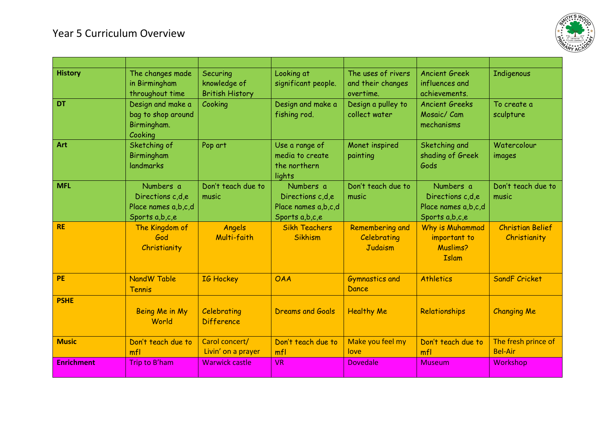## Year 5 Curriculum Overview



| <b>History</b>    | The changes made<br>in Birmingham<br>throughout time                   | Securing<br>knowledge of<br><b>British History</b> | Looking at<br>significant people.                                      | The uses of rivers<br>and their changes<br>overtime. | <b>Ancient Greek</b><br>influences and<br>achievements.                | Indigenous                              |
|-------------------|------------------------------------------------------------------------|----------------------------------------------------|------------------------------------------------------------------------|------------------------------------------------------|------------------------------------------------------------------------|-----------------------------------------|
| <b>DT</b>         | Design and make a<br>bag to shop around<br>Birmingham.<br>Cooking      | Cooking                                            | Design and make a<br>fishing rod.                                      | Design a pulley to<br>collect water                  | <b>Ancient Greeks</b><br>Mosaic/ Cam<br>mechanisms                     | To create a<br>sculpture                |
| Art               | Sketching of<br>Birmingham<br>landmarks                                | Pop art                                            | Use a range of<br>media to create<br>the northern<br>lights            | Monet inspired<br>painting                           | Sketching and<br>shading of Greek<br>Gods                              | Watercolour<br>images                   |
| <b>MFL</b>        | Numbers a<br>Directions c,d,e<br>Place names a,b,c,d<br>Sports a,b,c,e | Don't teach due to<br>music                        | Numbers a<br>Directions c,d,e<br>Place names a,b,c,d<br>Sports a,b,c,e | Don't teach due to<br>music                          | Numbers a<br>Directions c,d,e<br>Place names a,b,c,d<br>Sports a,b,c,e | Don't teach due to<br>music             |
| <b>RE</b>         | The Kingdom of<br>God<br>Christianity                                  | Angels<br>Multi-faith                              | <b>Sikh Teachers</b><br><b>Sikhism</b>                                 | <b>Remembering and</b><br>Celebrating<br>Judaism     | Why is Muhammad<br>important to<br><b>Muslims?</b><br><b>Islam</b>     | <b>Christian Belief</b><br>Christianity |
| <b>PE</b>         | NandW Table<br><b>Tennis</b>                                           | IG Hockey                                          | <b>OAA</b>                                                             | <b>Gymnastics and</b><br>Dance                       | <b>Athletics</b>                                                       | <b>SandF Cricket</b>                    |
| <b>PSHE</b>       | Being Me in My<br>World                                                | Celebrating<br><b>Difference</b>                   | <b>Dreams and Goals</b>                                                | <b>Healthy Me</b>                                    | Relationships                                                          | <b>Changing Me</b>                      |
| <b>Music</b>      | Don't teach due to<br>mfl                                              | Carol concert/<br>Livin' on a prayer               | Don't teach due to<br>mfl                                              | Make you feel my<br>love                             | Don't teach due to<br>mfl                                              | The fresh prince of<br><b>Bel-Air</b>   |
| <b>Enrichment</b> | Trip to B'ham                                                          | <b>Warwick castle</b>                              | <b>VR</b>                                                              | <b>Dovedale</b>                                      | <b>Museum</b>                                                          | Workshop                                |